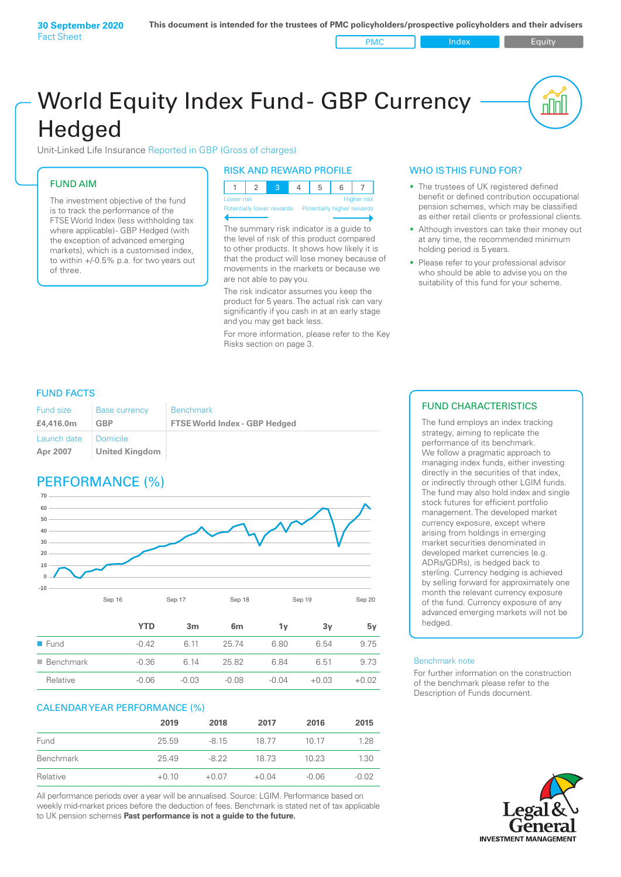# World Equity Index Fund- GBP Currency **Hedged**

Unit-Linked Life Insurance Reported in GBP (Gross of charges)

### FUND AIM

The investment objective of the fund is to track the performance of the FTSE World Index (less withholding tax where applicable) - GBP Hedged (with the exception of advanced emerging markets), which is a customised index, to within +/‑0.5% p.a. for two years out of three.

#### RISK AND REWARD PROFILE

| Lower risk |  |  | <b>Higher risk</b> |
|------------|--|--|--------------------|

ntially lower rewards

The summary risk indicator is a guide to the level of risk of this product compared to other products. It shows how likely it is that the product will lose money because of movements in the markets or because we are not able to pay you.

The risk indicator assumes you keep the product for 5 years. The actual risk can vary significantly if you cash in at an early stage and you may get back less.

For more information, please refer to the Key Risks section on page 3.

#### WHO IS THIS FUND FOR?

The trustees of UK registered defined benefit or defined contribution occupational pension schemes, which may be classified as either retail clients or professional clients.

nn

- Although investors can take their money out at any time, the recommended minimum holding period is 5 years.
- Please refer to your professional advisor who should be able to advise you on the suitability of this fund for your scheme.

#### FUND FACTS

| Fund size               | <b>Base currency</b>       | <b>Benchmark</b>                     |
|-------------------------|----------------------------|--------------------------------------|
| £4,416.0m               | GBP                        | <b>FTSE World Index - GBP Hedged</b> |
| Launch date<br>Apr 2007 | Domicile<br>United Kingdom |                                      |

## PERFORMANCE (%)



|                          | YTD     | 3 <sub>m</sub> | 6m      | ٦v    | 3v      | 5۷      |
|--------------------------|---------|----------------|---------|-------|---------|---------|
| $\blacksquare$ Fund      | $-0.42$ | 6 11           | 25.74   | 6.80  | 6.54    | 9.75    |
| $\blacksquare$ Benchmark | $-0.36$ | 6 14           | 25.82   | 684   | 6.51    | 9.73    |
| Relative                 | $-0.06$ | $-0.03$        | $-0.08$ | -0.04 | $+0.03$ | $+0.02$ |

#### CALENDAR YEAR PERFORMANCE (%)

|           | 2019    | 2018    | 2017    | 2016    | 2015    |
|-----------|---------|---------|---------|---------|---------|
| Fund      | 25.59   | $-8.15$ | 18.77   | 10 17   | 1.28    |
| Benchmark | 25.49   | -8.22   | 18 73   | 10.23   | 1.30    |
| Relative  | $+0.10$ | $+0.07$ | $+0.04$ | $-0.06$ | $-0.02$ |

All performance periods over a year will be annualised. Source: LGIM. Performance based on weekly mid-market prices before the deduction of fees. Benchmark is stated net of tax applicable to UK pension schemes **Past performance is not a guide to the future.**

#### FUND CHARACTERISTICS

The fund employs an index tracking strategy, aiming to replicate the performance of its benchmark. We follow a pragmatic approach to managing index funds, either investing directly in the securities of that index, or indirectly through other LGIM funds. The fund may also hold index and single stock futures for efficient portfolio management. The developed market currency exposure, except where arising from holdings in emerging market securities denominated in developed market currencies (e.g. ADRs/GDRs), is hedged back to sterling. Currency hedging is achieved by selling forward for approximately one month the relevant currency exposure of the fund. Currency exposure of any advanced emerging markets will not be hedged.

#### Benchmark note

For further information on the construction of the benchmark please refer to the Description of Funds document.

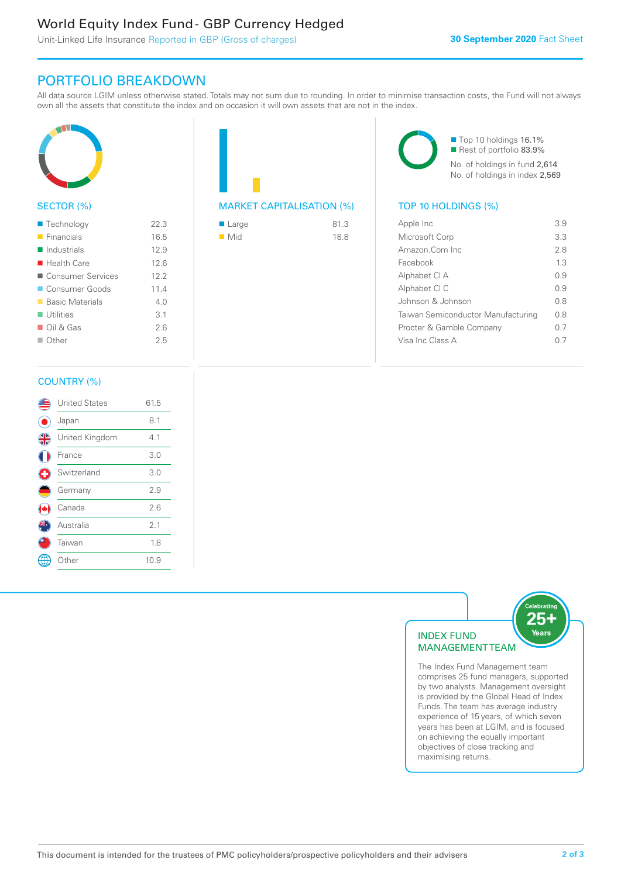### World Equity Index Fund - GBP Currency Hedged

Unit-Linked Life Insurance Reported in GBP (Gross of charges)

### PORTFOLIO BREAKDOWN

All data source LGIM unless otherwise stated. Totals may not sum due to rounding. In order to minimise transaction costs, the Fund will not always own all the assets that constitute the index and on occasion it will own assets that are not in the index.



#### SECTOR (%)

| $\blacksquare$ Technology  | 22.3 |
|----------------------------|------|
| $\blacksquare$ Financials  | 16.5 |
| $\blacksquare$ Industrials | 12.9 |
| $\blacksquare$ Health Care | 12.6 |
| ■ Consumer Services        | 12.2 |
| Consumer Goods             | 11.4 |
| ■ Basic Materials          | 4 N  |
| $\blacksquare$ Utilities   | 3.1  |
| $\Box$ Oil & Gas           | 2.6  |
| $\Box$ Other               | 25   |
|                            |      |



| ■ Large            | 81.3 |
|--------------------|------|
| $\blacksquare$ Mid | 18.8 |

■ Top 10 holdings 16.1% Rest of portfolio 83.9% No. of holdings in fund 2,614 No. of holdings in index 2,569

| Apple Inc                          | 39   |
|------------------------------------|------|
| Microsoft Corp                     | 33   |
| Amazon.Com Inc                     | 28   |
| Facebook                           | 13   |
| Alphabet CI A                      | O 9  |
| Alphabet CI C                      | O 9  |
| Johnson & Johnson                  | 0 S  |
| Taiwan Semiconductor Manufacturing | 0 S  |
| Procter & Gamble Company           | 0.7  |
| Visa Inc Class A                   | () / |
|                                    |      |

#### COUNTRY (%)

|                      | <b>United States</b> | 61.5 |  |
|----------------------|----------------------|------|--|
|                      | Japan                | 8.1  |  |
| $\frac{4}{\sqrt{2}}$ | United Kingdom       | 4.1  |  |
|                      | France               | 3.0  |  |
|                      | Switzerland          | 3.0  |  |
|                      | Germany              | 2.9  |  |
|                      | Canada               | 2.6  |  |
|                      | Australia            | 2.1  |  |
|                      | Taiwan               | 1.8  |  |
|                      | Other                | 10.9 |  |
|                      |                      |      |  |



comprises 25 fund managers, supported by two analysts. Management oversight is provided by the Global Head of Index Funds. The team has average industry experience of 15 years, of which seven years has been at LGIM, and is focused on achieving the equally important objectives of close tracking and maximising returns.